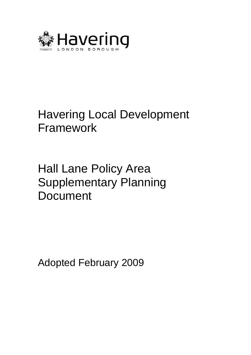

# Havering Local Development Framework

Hall Lane Policy Area Supplementary Planning Document

Adopted February 2009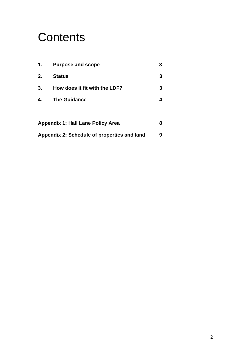# **Contents**

| 1.                                          | <b>Purpose and scope</b>      | 3 |
|---------------------------------------------|-------------------------------|---|
| 2.                                          | <b>Status</b>                 | 3 |
| 3.                                          | How does it fit with the LDF? | 3 |
| 4.                                          | <b>The Guidance</b>           | 4 |
|                                             |                               |   |
| <b>Appendix 1: Hall Lane Policy Area</b>    |                               |   |
| Appendix 2: Schedule of properties and land |                               |   |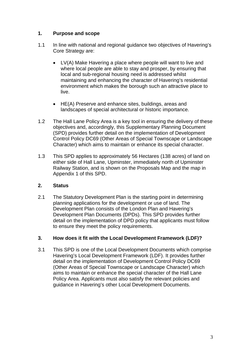# **1. Purpose and scope**

- 1.1 In line with national and regional guidance two objectives of Havering's Core Strategy are:
	- LV(A) Make Havering a place where people will want to live and where local people are able to stay and prosper, by ensuring that local and sub-regional housing need is addressed whilst maintaining and enhancing the character of Havering's residential environment which makes the borough such an attractive place to live.
	- HE(A) Preserve and enhance sites, buildings, areas and landscapes of special architectural or historic importance.
- 1.2 The Hall Lane Policy Area is a key tool in ensuring the delivery of these objectives and, accordingly, this Supplementary Planning Document (SPD) provides further detail on the implementation of Development Control Policy DC69 (Other Areas of Special Townscape or Landscape Character) which aims to maintain or enhance its special character.
- 1.3 This SPD applies to approximately 56 Hectares (138 acres) of land on either side of Hall Lane, Upminster, immediately north of Upminster Railway Station, and is shown on the Proposals Map and the map in Appendix 1 of this SPD.

# **2. Status**

2.1 The Statutory Development Plan is the starting point in determining planning applications for the development or use of land. The Development Plan consists of the London Plan and Havering's Development Plan Documents (DPDs). This SPD provides further detail on the implementation of DPD policy that applicants must follow to ensure they meet the policy requirements.

# **3. How does it fit with the Local Development Framework (LDF)?**

3.1 This SPD is one of the Local Development Documents which comprise Havering's Local Development Framework (LDF). It provides further detail on the implementation of Development Control Policy DC69 (Other Areas of Special Townscape or Landscape Character) which aims to maintain or enhance the special character of the Hall Lane Policy Area. Applicants must also satisfy the relevant policies and guidance in Havering's other Local Development Documents.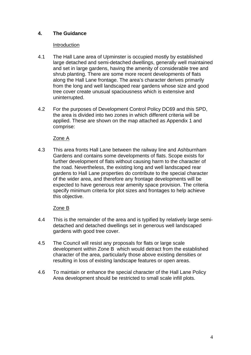# **4. The Guidance**

#### Introduction

- 4.1 The Hall Lane area of Upminster is occupied mostly by established large detached and semi-detached dwellings, generally well maintained and set in large gardens, having the amenity of considerable tree and shrub planting. There are some more recent developments of flats along the Hall Lane frontage. The area's character derives primarily from the long and well landscaped rear gardens whose size and good tree cover create unusual spaciousness which is extensive and uninterrupted.
- 4.2 For the purposes of Development Control Policy DC69 and this SPD, the area is divided into two zones in which different criteria will be applied. These are shown on the map attached as Appendix 1 and comprise:

#### Zone A

4.3 This area fronts Hall Lane between the railway line and Ashburnham Gardens and contains some developments of flats. Scope exists for further development of flats without causing harm to the character of the road. Nevertheless, the existing long and well landscaped rear gardens to Hall Lane properties do contribute to the special character of the wider area, and therefore any frontage developments will be expected to have generous rear amenity space provision. The criteria specify minimum criteria for plot sizes and frontages to help achieve this objective.

#### Zone B

- 4.4 This is the remainder of the area and is typified by relatively large semidetached and detached dwellings set in generous well landscaped gardens with good tree cover.
- 4.5 The Council will resist any proposals for flats or large scale development within Zone B which would detract from the established character of the area, particularly those above existing densities or resulting in loss of existing landscape features or open areas.
- Area development should be restricted to small scale infill plots. 4.6 To maintain or enhance the special character of the Hall Lane Policy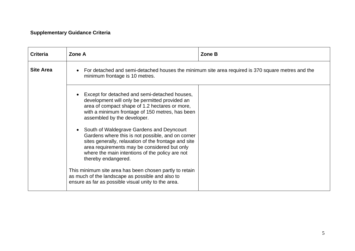# **Supplementary Guidance Criteria**

| <b>Criteria</b>  | Zone A                                                                                                                                                                                                                                                                           | Zone B |
|------------------|----------------------------------------------------------------------------------------------------------------------------------------------------------------------------------------------------------------------------------------------------------------------------------|--------|
| <b>Site Area</b> | For detached and semi-detached houses the minimum site area required is 370 square metres and the<br>minimum frontage is 10 metres.                                                                                                                                              |        |
|                  | Except for detached and semi-detached houses,<br>development will only be permitted provided an<br>area of compact shape of 1.2 hectares or more,<br>with a minimum frontage of 150 metres, has been<br>assembled by the developer.                                              |        |
|                  | South of Waldegrave Gardens and Deyncourt<br>Gardens where this is not possible, and on corner<br>sites generally, relaxation of the frontage and site<br>area requirements may be considered but only<br>where the main intentions of the policy are not<br>thereby endangered. |        |
|                  | This minimum site area has been chosen partly to retain<br>as much of the landscape as possible and also to<br>ensure as far as possible visual unity to the area.                                                                                                               |        |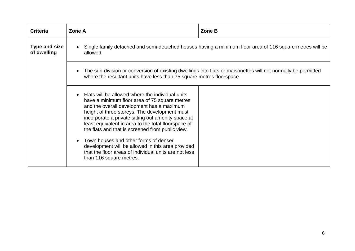| <b>Criteria</b>                     | Zone A                                                                                                                                                                                                                                                                                                                                                                                                                                                                                                                                             | Zone B                                                                                                                                                                                 |  |  |
|-------------------------------------|----------------------------------------------------------------------------------------------------------------------------------------------------------------------------------------------------------------------------------------------------------------------------------------------------------------------------------------------------------------------------------------------------------------------------------------------------------------------------------------------------------------------------------------------------|----------------------------------------------------------------------------------------------------------------------------------------------------------------------------------------|--|--|
| <b>Type and size</b><br>of dwelling | Single family detached and semi-detached houses having a minimum floor area of 116 square metres will be<br>allowed.                                                                                                                                                                                                                                                                                                                                                                                                                               |                                                                                                                                                                                        |  |  |
|                                     | $\bullet$                                                                                                                                                                                                                                                                                                                                                                                                                                                                                                                                          | The sub-division or conversion of existing dwellings into flats or maisonettes will not normally be permitted<br>where the resultant units have less than 75 square metres floorspace. |  |  |
|                                     | Flats will be allowed where the individual units<br>have a minimum floor area of 75 square metres<br>and the overall development has a maximum<br>height of three storeys. The development must<br>incorporate a private sitting out amenity space at<br>least equivalent in area to the total floorspace of<br>the flats and that is screened from public view.<br>Town houses and other forms of denser<br>development will be allowed in this area provided<br>that the floor areas of individual units are not less<br>than 116 square metres. |                                                                                                                                                                                        |  |  |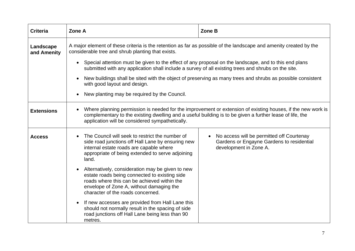| <b>Criteria</b>          | Zone A                                                                                                                                                                                                                                                                                  | Zone B                                                                                                                                                                                                       |  |  |
|--------------------------|-----------------------------------------------------------------------------------------------------------------------------------------------------------------------------------------------------------------------------------------------------------------------------------------|--------------------------------------------------------------------------------------------------------------------------------------------------------------------------------------------------------------|--|--|
| Landscape<br>and Amenity | A major element of these criteria is the retention as far as possible of the landscape and amenity created by the<br>considerable tree and shrub planting that exists.                                                                                                                  |                                                                                                                                                                                                              |  |  |
|                          | $\bullet$                                                                                                                                                                                                                                                                               | Special attention must be given to the effect of any proposal on the landscape, and to this end plans<br>submitted with any application shall include a survey of all existing trees and shrubs on the site. |  |  |
|                          | New buildings shall be sited with the object of preserving as many trees and shrubs as possible consistent<br>with good layout and design.                                                                                                                                              |                                                                                                                                                                                                              |  |  |
|                          | New planting may be required by the Council.<br>$\bullet$                                                                                                                                                                                                                               |                                                                                                                                                                                                              |  |  |
| <b>Extensions</b>        | Where planning permission is needed for the improvement or extension of existing houses, if the new work is<br>$\bullet$<br>complementary to the existing dwelling and a useful building is to be given a further lease of life, the<br>application will be considered sympathetically. |                                                                                                                                                                                                              |  |  |
| <b>Access</b>            | The Council will seek to restrict the number of<br>side road junctions off Hall Lane by ensuring new<br>internal estate roads are capable where<br>appropriate of being extended to serve adjoining<br>land.                                                                            | No access will be permitted off Courtenay<br>Gardens or Engayne Gardens to residential<br>development in Zone A.                                                                                             |  |  |
|                          | Alternatively, consideration may be given to new<br>$\bullet$<br>estate roads being connected to existing side<br>roads where this can be achieved within the<br>envelope of Zone A, without damaging the<br>character of the roads concerned.                                          |                                                                                                                                                                                                              |  |  |
|                          | If new accesses are provided from Hall Lane this<br>$\bullet$<br>should not normally result in the spacing of side<br>road junctions off Hall Lane being less than 90<br>metres.                                                                                                        |                                                                                                                                                                                                              |  |  |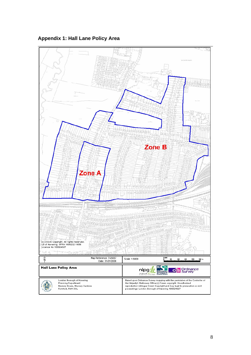